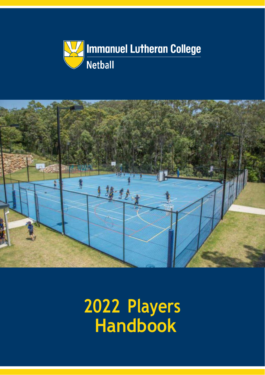



<span id="page-0-0"></span>**202 2 Players Handbook**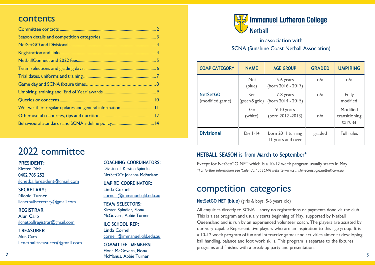## <span id="page-1-0"></span>contents

## 2022 committee

**PRESIDENT:**

Kirsten Dick 0402 785 252 [ilcnetballpr](mailto:ilcnetballpresident@gmail.com)[esident@gmail.com](mailto:esident@gmail.com)

**SECRETARY:** Nicole Turner [ilcnetballsecretar](mailto:ilcnetballsecretary@gmail.com)[y@gmail.com](mailto:y@gmail.com)

**REGISTRAR**

Alun Carp [ilcnetballregistr](mailto:ilcnetballregistrar@gmail.com)[ar@gmail.com](mailto:ar@gmail.com)

**TREASURER**

Alun Carp [ilcnetballtreasur](mailto:ilcnetballtreasurer@gmail.com)[er@gmail.com](mailto:er@gmail.com)

**COACHING COORDINATORS:** Divisional: Kirsten Spindler NetSetGO: Johanna McFarlane

**UMPIRE COORDINATOR:** Linda Cornell [cornelll@immanuel.qld.edu.au](mailto:cornelll@immanuel.qld.edu.au)

**TEAM SELECTORS:** Kirsten Spindler, Fiona McGovern, Abbie Turner

**ILC SCHOOL REP:** Linda Cornell [cornelll@immanuel.qld.edu.au](mailto:cornelll@immanuel.qld.edu.au)

**COMMITTEE MEMBERS:** Fiona McGovern, Fiona McManus, Abbie Turner



in association with SCNA (Sunshine Coast Netball Association)

| <b>COMP CATEGORY</b>               | <b>NAME</b>           | <b>AGE GROUP</b>                       | <b>GRADED</b> | <b>UMPIRING</b>                       |
|------------------------------------|-----------------------|----------------------------------------|---------------|---------------------------------------|
|                                    | <b>Net</b><br>(blue)  | 5-6 years<br>(born 2016 - 2017)        | n/a           | n/a                                   |
| <b>NetSetGO</b><br>(modified game) | Set<br>(green & gold) | 7-8 years<br>(born 2014 - 2015)        | n/a           | Fully<br>modified                     |
|                                    | Go<br>(white)         | 9-10 years<br>(born 2012 - 2013)       | n/a           | Modified<br>transitioning<br>to rules |
| <b>Divisional</b>                  | $Div I - I4$          | born 2011 turning<br>II years and over | graded        | Full rules                            |

#### **NETBALL SEASON is from March to September\***

Except for NetSetGO NET which is a 10-12 week program usually starts in May. *\*For further information see 'Calendar' at SCNA website [www.sunshinecoast.qld.netball.com.au](http://www.sunshinecoast.qld.netball.com.au/)*

## competition categories

**NetSetGO NET (blue)** (girls & boys, 5-6 years old)

All enquiries directly to SCNA – sorry no registrations or payments done via the club. This is a set program and usually starts beginning of May, supported by Netball Queensland and is run by an experienced volunteer coach. The players are assisted by our very capable Representative players who are an inspiration to this age group. It is a 10-12 week program of fun and interactive games and activities aimed at developing ball handling, balance and foot work skills. This program is separate to the fixtures programs and finishes with <sup>a</sup> break-up party and presentation.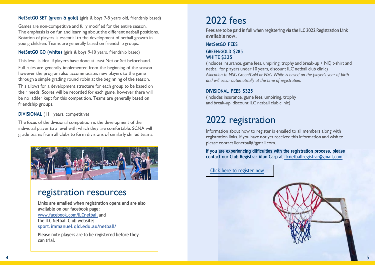#### <span id="page-2-0"></span>**NetSetGO SET (green & gold)** (girls & boys 7-8 years old, friendship based)

Games are non-competitive and fully modified for the entire season. The emphasis is on fun and learning about the different netball positions. Rotation of players is essential to the development of netball growth in young children. Teams are generally based on friendship groups.

**NetSetGO GO (white)** (girls & boys 9-10 years, friendship based)

This level is ideal if players have done at least Net or Set beforehand. Full rules are generally implemented from the beginning of the season however the program also accommodates new players to the game through a simple grading round robin at the beginning of the season.

This allows for a development structure for each group to be based on their needs. Scores will be recorded for each game, however there will be no ladder kept for this competition. Teams are generally based on friendship groups.

**DIVISIONAL** (11+ years, competitive)

The focus of the divisional competition is the development of the individual player to a level with which they are comfortable. SCNA will grade teams from all clubs to form divisions of similarly skilled teams.



## registration resources

**Links are emailed when registration opens and are also available on our facebook page: [www.facebook.com/ILCnetball](http://www.facebook.com/ilcnetball/) and the ILC Netball Club website: [sport.immanuel.qld.edu.au/netball/](https://sport.immanuel.qld.edu.au/netball/)**

**Please note players are to be registered before they can trial.**

# 2022 fees

**Fees are to be paid in full when registering via the ILC 2022 Registration Link available now.**

#### **NetSetGO FEES GREEN/GOLD \$285**

#### **WHITE \$325**

(includes insurance, game fees, umpiring, trophy and break-up + NQ t-shirt and netball for players under 10 years, discount ILC netball club clinic) *Allocation to NSG Green/Gold or NSG White is based on the player's year of birth and will occur automatically at the time of registration.*

#### **DIVISIONAL FEES \$325**

(includes insurance, game fees, umpiring, trophy and break-up, discount ILC netball club clinic)

# 2022 registration

Information about how to register is emailed to all members along with registration links. If you have not yet received this information and wish to please contact [ilcnetball@gmail.com.](mailto:ilcnetball@gmail.com)

**If you are experiencing difficulties with the registration process, please contact our Club Registrar Alun Carp at [ilcnetballregistrar@gmail.com](mailto:ilcnetballregistrar@gmail.com)**

**Click here to [register](https://netball-registration.worldsportaction.com/userRegistration?organisationId=93cf7414-8d4f-44cd-95e8-86c97962bb30&competitionId=40755268-9f9a-4144-814c-2a14cace7890) now**

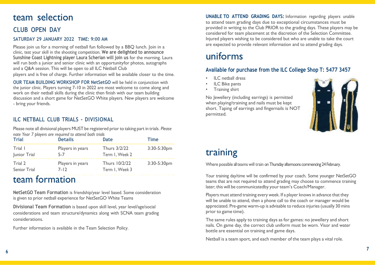## <span id="page-3-0"></span>team selection

#### **CLUB OPEN DAY**

#### **SATURDAY 29 JANUARY 2022 TIME: 9:00 AM**

Please join us for a morning of netball fun followed by a BBQ lunch. Join in a clinic, test your skill in the shooting competition. **We are delighted to announce Sunshine Coast Lightning player Laura Scherian will join us** for the morning. Laura will run both a junior and senior clinic with an opportunityfor photos, autographs and a Q&A session. This will be open to all ILC Netball Club players and is free of charge. Further information will be available closer to the time.

**OUR TEAM BUILDING WORKSHOP FOR NetSetGO** will be held in conjunction with the junior clinic. Players turning 7-10 in 2022 are most welcome to come along and work on their netball skills during the clinic then finish with our team building discussion and a short game for NetSetGO White players. New players are welcome - bring your friends.

#### **ILC NETBALL CLUB TRIALS - DIVISIONAL**

Please note all divisional players MUST be registered prior to taking part in trials. *Please note Year 7 players are required to attend both trials*

| <b>Trial</b> | <b>Details</b>   | Date           | Time        |
|--------------|------------------|----------------|-------------|
| Trial I      | Players in years | Thurs 3/2/22   | 3:30-5:30pm |
| Junior Trial | $5 - 7$          | Term I, Week 2 |             |
| Trial 2      | Players in years | Thurs 10/2/22  | 3:30-5:30pm |
| Senior Trial | $7 - 12$         | Term I, Week 3 |             |

## team formation

**NetSetGO Team Formation** is friendship/year level based. Some consideration is given to prior netball experience for NetSetGO White Teams

**Divisional Team Formation** is based upon skill level, year level/age/social considerations and team structure/dynamics along with SCNA team grading considerations.

Further information is available in the Team Selection Policy.

**UNABLE TO ATTEND GRADING DAYS:** Information regarding players unable to attend team grading days due to exceptional circumstances must be provided in writing to the Club PRIOR to the grading days. These players may be considered for team placement at the discretion of the Selection Committee. Injured players wishing to be considered but who are unable to take the court are expected to provide relevant information and to attend grading days.

# uniforms

#### **Available for purchase from the ILC College Shop T: 5477 3457**

- ILC netball dress
- **ILC Bike pants**
- Training shirt

No Jewellery (including earrings) is permitted when playing/training and nails must be kept short. Taping of earrings and fingernails is NOT permitted.



# training

Where possible all teams will train on Thursday afternoons commencing 24 February.

Your training day/time will be confirmed by your coach. Some younger NetSetGO teams that are not required to attend grading may choose to commence training later; this will be communicatedby your team's Coach/Manager.

Players must attend training every week. If a player knows in advance that they will be unable to attend, then a phone call to the coach or manager would be appreciated. Pre-game warm-up is advisable to reduce injuries (usually 30 mins prior to game time).

The same rules apply to training days as for games: no jewellery and short nails. On game day, the correct club uniform must be worn. Visor and water bottle are essential on training and game days.

Netball is <sup>a</sup> team sport, and each member of the team plays <sup>a</sup> vital role.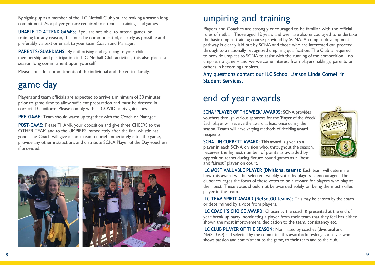<span id="page-4-0"></span>By signing up as a member of the ILC Netball Club you are making a season long commitment. As a player you are required to attend all trainings and games.

**UNABLE TO ATTEND GAMES:** If you are not able to attend games or training for any reason, this must be communicated, as early as possible and preferably via text or email, to your team Coach and Manager.

**PARENTS/GUARDIANS:** By authorising and agreeing to your child's membership and participation in ILC Netball Club activities, this also places a season long commitment upon yourself.

Please consider commitments of the individual and the entire family.

# game day

Players and team officials are expected to arrive a minimum of 30 minutes prior to game time to allow sufficient preparation and must be dressed in correct ILC uniform. Please comply with all COVID safety guidelines.

**PRE-GAME:** Team should warm up together with the Coach or Manager.

**POST-GAME:** Please THANK your opposition and give three CHEERS to the OTHER TEAM and to the UMPIRES immediately after the final whistle has gone. The Coach will give a short team debrief immediately after the game, provide any other instructions and distribute SCNA Player of the Day vouchers if provided.





# umpiring and training

Players and Coaches are strongly encouraged to be familiar with the official rules of netball. Those aged 12 years and over are also encouraged to undertake the basic umpire training course provided by SCNA. An umpire development pathway is clearly laid out by SCNA and those who are interested can proceed through to a nationally recognized umpiring qualification. The Club is required to provide umpires to SCNA to assist with the running of the competition – no umpire, no game – and we welcome interest from players, siblings, parents or others in becoming umpires.

**Any questions contact our ILC School Liaison Linda Cornell in Student Services.**

# end of year awards

**SCNA 'PLAYER OF THE WEEK' AWARDS:** SCNA provides vouchers through various sponsors for the 'Player of the Week'. Each player will receive the award at least once during the season. Teams will have varying methods of deciding award recipients.



**SCNA LIN CORBETT AWARD:** This award is given to a player in each SCNA division who, throughout the season, receives the highest number of points as awarded by opposition teams during fixture round games as a "best and fairest" player on court.

**ILC MOST VALUABLE PLAYER (Divisional teams):** Each team will determine how this award will be selected; weekly votes by players is encouraged. The clubencourages the focus of these votes to be a reward for players who play at their best. These votes should not be awarded solely on being the most skilled player in the team.

**ILC TEAM SPIRIT AWARD (NetSetGO teams):** This may be chosen by the coach or determined by a vote from players.

**ILC COACH'S CHOICE AWARD:** Chosen by the coach & presented at the end of year break up party, nominating a player from their team that they feel has either shown the most improvement, dedication to the team, consistency etc.

**ILC CLUB PLAYER OF THE SEASON:** Nominated by coaches (divisional and NetSetGO) and selected by the committee this award acknowledges a player who shows passion and commitment to the game, to their team and to the club.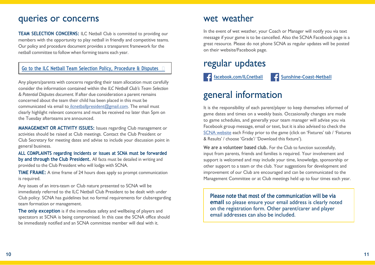## <span id="page-5-0"></span>queries or concerns

**TEAM SELECTION CONCERNS:** ILC Netball Club is committed to providing our members with the opportunity to play netball in friendly and competitive teams. Our policy and procedure document provides a transparent framework for the netball committee to follow when forming teams each year.

#### **Go to the ILC Netball Team Selection Policy, [Procedure](https://sport.immanuel.qld.edu.au/netball/wp-content/uploads/sites/3/2021/01/Team-Selection-Procedure-Policy-and-Disputes-November-2020.pdf) & Disputes**

Any players/parents with concerns regarding their team allocation must carefully consider the information contained within the *ILC Netball Club's Team Selection & Potential Disputes document*. If after due consideration a parent remains concerned about the team their child has been placed in this must be communicated via email to [ilcnetballpresident@gmail.com. T](mailto:ilcnetballpresident@gmail.com)he email must clearly highlight relevant concerns and must be received no later than 5pm on the Tuesday afterteams are announced.

**MANAGEMENT OR ACTIVITY ISSUES:** Issues regarding Club management or activities should be raised at Club meetings. Contact the Club President or Club Secretary for meeting dates and advise to include your discussion point in general business.

**ALL COMPLAINTS regarding incidents or issues at SCNA must be forwarded by and through the Club President.** All facts must be detailed in writing and provided to the Club President who will lodge with SCNA.

**TIME FRAME:** A time frame of 24 hours does apply so prompt communication is required.

Any issues of an intra-team or Club nature presented to SCNA will be immediately referred to the ILC Netball Club President to be dealt with under Club policy. SCNA has guidelines but no formal requirements for clubsregarding team formation or management.

**The only exception** is if the immediate safety and wellbeing of players and spectators at SCNA is being compromised. In this case the SCNA office should be immediately notified and an SCNA committee member will deal with it.

## wet weather

In the event of wet weather, your Coach or Manager will notify you via text message if your game is to be cancelled. Also the SCNA Facebook page is a great resource. Please do not phone SCNA as regular updates will be posted on their website/Facebook page.

## regular updates

**f** [facebook.com/ILCnetball](http://www.facebook.com/ilcnetball/) **f** [Sunshine-Coast-Netball](https://www.facebook.com/Sunshine-Coast-Netball-117740446691/)

# general information

It is the responsibility of each parent/player to keep themselves informed of game dates and times on a weekly basis. Occasionally changes are made to game schedules, and generally your team manager will advise you via Facebook group message, email or text, but it is also advised to check the SCNA [website](http://www.sunshinecoast.qld.netball.com.au/) each Friday prior to the game (click on 'Fixtures' tab / 'Fixtures & Results' / choose 'Grade'/ 'Download this fixture').

**We are a volunteer based club.** For the Club to function successfully, input from parents, friends and families is required. Your involvement and support is welcomed and may include your time, knowledge, sponsorship or other support to a team or the club. Your suggestions for development and improvement of our Club are encouraged and can be communicated to the Management Committee or at Club meetings held up to four times each year.

**Please note that most of the communication will be via email** so please ensure your email address is clearly noted on the registration form. Other parent/carer and player email addresses can also be included.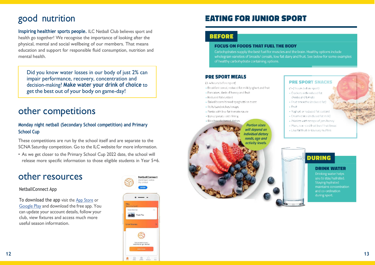# <span id="page-6-0"></span>good nutrition

**Inspiring healthier sports people.** ILC Netball Club believes sport and health go together! We recognise the importance of looking after the physical, mental and social wellbeing of our members. That means education and support for responsible fluid consumption, nutrition and mental health.

Did you know water losses in our body of just 2% can impair performance, recovery, concentration and decision -making? **Make water your drink of choice** to get the best out of your body on game -day!

## other competitions

**Monday night netball (Secondary School competition) and Primary School Cup**

These competitions are run by the school itself and are separate to the SCNA Saturday competition. Go to the ILC website for more information.

• As we get closer to the Primary School Cup 2022 date, the school will release more specific information to those eligible students in Year 5+6.

## other resources

#### **NetballConnect App**

**To download the app** visit the App [Store](https://apps.apple.com/au/app/netballconnect/id1456225408) or [Google](https://play.google.com/store/apps/details?id=com.wsa.netball&hl=en_AU&gl=US) Play and download the free app. You can update your account details, follow your club, view fixtures and access much more useful season information.





## **EATING FOR JUNIOR SPORT**

#### **BEFORE**

#### **FOCUS ON FOODS THAT FUEL THE BODY**

Carbohydrates supply the best fuel for muscles and the brain. Healthy options include wholegrain varieties of breads/ cereals, low fat dairy and fruit. See below for some examples of healthy carbohydrate containing options.

#### **PRE SPORT MEALS**

(3-4 hours before sport)

- · Breakfast cereal, reduced fat milk/yoghurt and fruit
- · Pancakes, dash of honey and fruit
- . Reduced fat custard
- · Baked beans/tinned spaghetti on toast
- Rolls/sandwiches/wraps
- Pasta with low fat tomato sauce
- Baked potato with filling
- Rice/noodle based dishes

**Portion sizes** will depend on individual dietary needs, age and activity levels.

#### **PRE SPORT SNACKS**

- (1-2 hours before sport)
- · Crackers with reduced fat cheese and tomato
- Fruit smoothie (reduced fat)
- Fruit
- Yoghurt or reduced fat custard
- Creamed rice (reduced fat milk)
- · Pikelets with scrape of jam/honey
- Plain, non-iced fruit bun/ fruit bread
- Low fat fruit or savoury muffins



#### **DRINK WATER**

Drinking water helps you to stay hydrated. Staying hydrated maintains concentration and co-ordination during sport.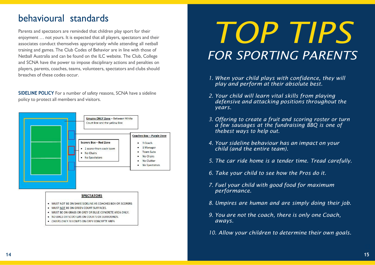## <span id="page-7-0"></span>behavioural standards

Parents and spectators are reminded that children play sport for their enjoyment … not yours. It is expected that all players, spectators and their associates conduct themselves appropriately while attending all netball training and games. The Club Codes of Behavior are in line with those of Netball Australia and can be found on the ILC website. The Club, College and SCNA have the power to impose disciplinary actions and penalties on players, parents, coaches, teams, volunteers, spectators and clubs should breaches of these codes occur.

**SIDELINE POLICY** For a number of safety reasons, SCNA have a sideline policy to protect all members and visitors.



#### **SPECTATORS**

- · MUST NOT BE ON SAME SIDELINE AS COACHES BOX OR SCORERS
- . MUST NOT BE ON GREEN COURT SURFACES.
- . MUST BE ON GRASS OR GREY OR BLUE CONCRETE AREA ONLY.
- . NO BIKES OR SCOOTERS ON COURTS OR SURROUNDS.
- . CHAIRS ONLY ALLOWED ON GREY CONCRETE AREA

# *TOP TIPS FOR SPORTING PARENTS*

- *1. When your child plays with confidence, they will play and perform at their absolute best.*
- *2. Your child will learn vital skills from playing defensive and attacking positions throughout the years.*
- *3. Offering to create a fruit and scoring roster or turn a few sausages at the fundraising BBQ is one of thebest ways to help out.*
- *4. Your sideline behaviour has an impact on your child (and the entire team).*
- *5. The car ride home is a tender time. Tread carefully.*
- *6. Take your child to see how the Pros do it.*
- *7. Fuel your child with good food for maximum performance.*
- *8. Umpires are human and are simply doing their job.*
- *9. You are not the coach, there is only one Coach, aways.*

*10. Allow your children to determine their own goals.*